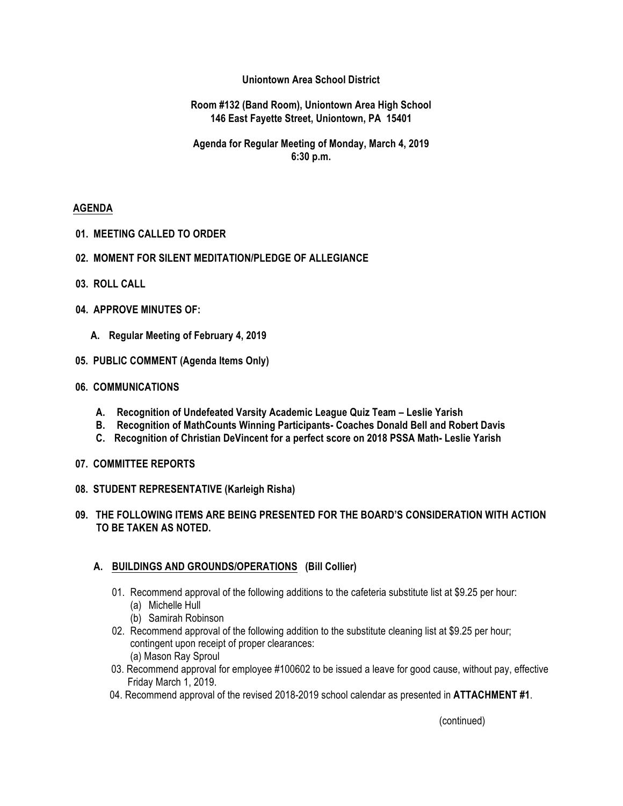## **Uniontown Area School District**

**Room #132 (Band Room), Uniontown Area High School 146 East Fayette Street, Uniontown, PA 15401**

**Agenda for Regular Meeting of Monday, March 4, 2019 6:30 p.m.**

## **AGENDA**

- **01. MEETING CALLED TO ORDER**
- **02. MOMENT FOR SILENT MEDITATION/PLEDGE OF ALLEGIANCE**
- **03. ROLL CALL**
- **04. APPROVE MINUTES OF:**
	- **A. Regular Meeting of February 4, 2019**
- **05. PUBLIC COMMENT (Agenda Items Only)**

### **06. COMMUNICATIONS**

- **A. Recognition of Undefeated Varsity Academic League Quiz Team – Leslie Yarish**
- **B. Recognition of MathCounts Winning Participants- Coaches Donald Bell and Robert Davis**
- **C. Recognition of Christian DeVincent for a perfect score on 2018 PSSA Math- Leslie Yarish**
- **07. COMMITTEE REPORTS**
- **08. STUDENT REPRESENTATIVE (Karleigh Risha)**
- **09. THE FOLLOWING ITEMS ARE BEING PRESENTED FOR THE BOARD'S CONSIDERATION WITH ACTION TO BE TAKEN AS NOTED.**

## **A. BUILDINGS AND GROUNDS/OPERATIONS (Bill Collier)**

- 01. Recommend approval of the following additions to the cafeteria substitute list at \$9.25 per hour:
	- (a) Michelle Hull
	- (b) Samirah Robinson
- 02. Recommend approval of the following addition to the substitute cleaning list at \$9.25 per hour; contingent upon receipt of proper clearances: (a) Mason Ray Sproul
- 03. Recommend approval for employee #100602 to be issued a leave for good cause, without pay, effective Friday March 1, 2019.
- 04. Recommend approval of the revised 2018-2019 school calendar as presented in **ATTACHMENT #1**.

(continued)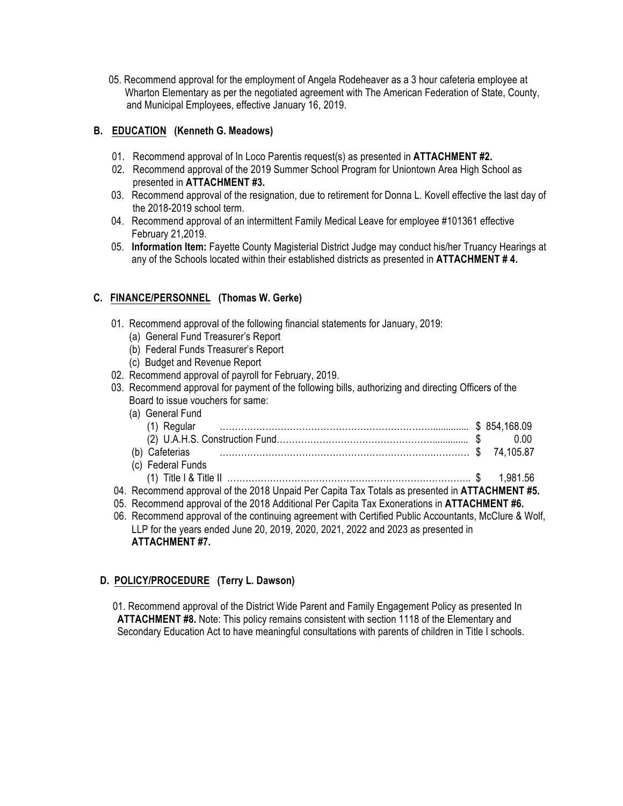05. Recommend approval for the employment of Angela Rodeheaver as a 3 hour cafeteria employee at Wharton Elementary as per the negotiated agreement with The American Federation of State, County, and Municipal Employees, effective January 16, 2019.

# **B. EDUCATION (Kenneth G. Meadows)**

- 01. Recommend approval of In Loco Parentis request(s) as presented in **ATTACHMENT #2.**
- 02. Recommend approval of the 2019 Summer School Program for Uniontown Area High School as presented in **ATTACHMENT #3.**
- 03. Recommend approval of the resignation, due to retirement for Donna L. Kovell effective the last day of the 2018-2019 school term.
- 04. Recommend approval of an intermittent Family Medical Leave for employee #101361 effective February 21,2019.
- 05. **Information Item:** Fayette County Magisterial District Judge may conduct his/her Truancy Hearings at any of the Schools located within their established districts as presented in **ATTACHMENT # 4.**

# **C. FINANCE/PERSONNEL (Thomas W. Gerke)**

- 01. Recommend approval of the following financial statements for January, 2019:
	- (a) General Fund Treasurer's Report
	- (b) Federal Funds Treasurer's Report
	- (c) Budget and Revenue Report
- 02. Recommend approval of payroll for February, 2019.
- 03. Recommend approval for payment of the following bills, authorizing and directing Officers of the Board to issue vouchers for same:
- (a) General Fund (1) Regular ……………………………………………………………............... \$ 854,168.09 (2) U.A.H.S. Construction Fund…………………………………………….............. \$ 0.00 (b) Cafeterias …………………………………………………………….………… \$ 74,105.87 (c) Federal Funds (1) Title I & Title II …………………………………………………………………….. \$ 1,981.56 04. Recommend approval of the 2018 Unpaid Per Capita Tax Totals as presented in **ATTACHMENT #5.** 05. Recommend approval of the 2018 Additional Per Capita Tax Exonerations in **ATTACHMENT #6.** 06. Recommend approval of the continuing agreement with Certified Public Accountants, McClure & Wolf,
- LLP for the years ended June 20, 2019, 2020, 2021, 2022 and 2023 as presented in **ATTACHMENT #7.**

## **D. POLICY/PROCEDURE (Terry L. Dawson)**

 01. Recommend approval of the District Wide Parent and Family Engagement Policy as presented In **ATTACHMENT #8.** Note: This policy remains consistent with section 1118 of the Elementary and Secondary Education Act to have meaningful consultations with parents of children in Title I schools.